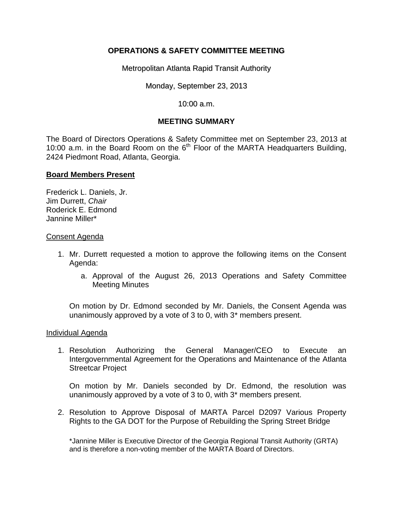# **OPERATIONS & SAFETY COMMITTEE MEETING**

Metropolitan Atlanta Rapid Transit Authority

Monday, September 23, 2013

10:00 a.m.

## **MEETING SUMMARY**

The Board of Directors Operations & Safety Committee met on September 23, 2013 at 10:00 a.m. in the Board Room on the  $6<sup>th</sup>$  Floor of the MARTA Headquarters Building, 2424 Piedmont Road, Atlanta, Georgia.

## **Board Members Present**

Frederick L. Daniels, Jr. Jim Durrett, *Chair* Roderick E. Edmond Jannine Miller\*

### Consent Agenda

- 1. Mr. Durrett requested a motion to approve the following items on the Consent Agenda:
	- a. Approval of the August 26, 2013 Operations and Safety Committee Meeting Minutes

On motion by Dr. Edmond seconded by Mr. Daniels, the Consent Agenda was unanimously approved by a vote of 3 to 0, with 3\* members present.

### Individual Agenda

1. Resolution Authorizing the General Manager/CEO to Execute an Intergovernmental Agreement for the Operations and Maintenance of the Atlanta Streetcar Project

On motion by Mr. Daniels seconded by Dr. Edmond, the resolution was unanimously approved by a vote of 3 to 0, with 3\* members present.

2. Resolution to Approve Disposal of MARTA Parcel D2097 Various Property Rights to the GA DOT for the Purpose of Rebuilding the Spring Street Bridge

\*Jannine Miller is Executive Director of the Georgia Regional Transit Authority (GRTA) and is therefore a non-voting member of the MARTA Board of Directors.